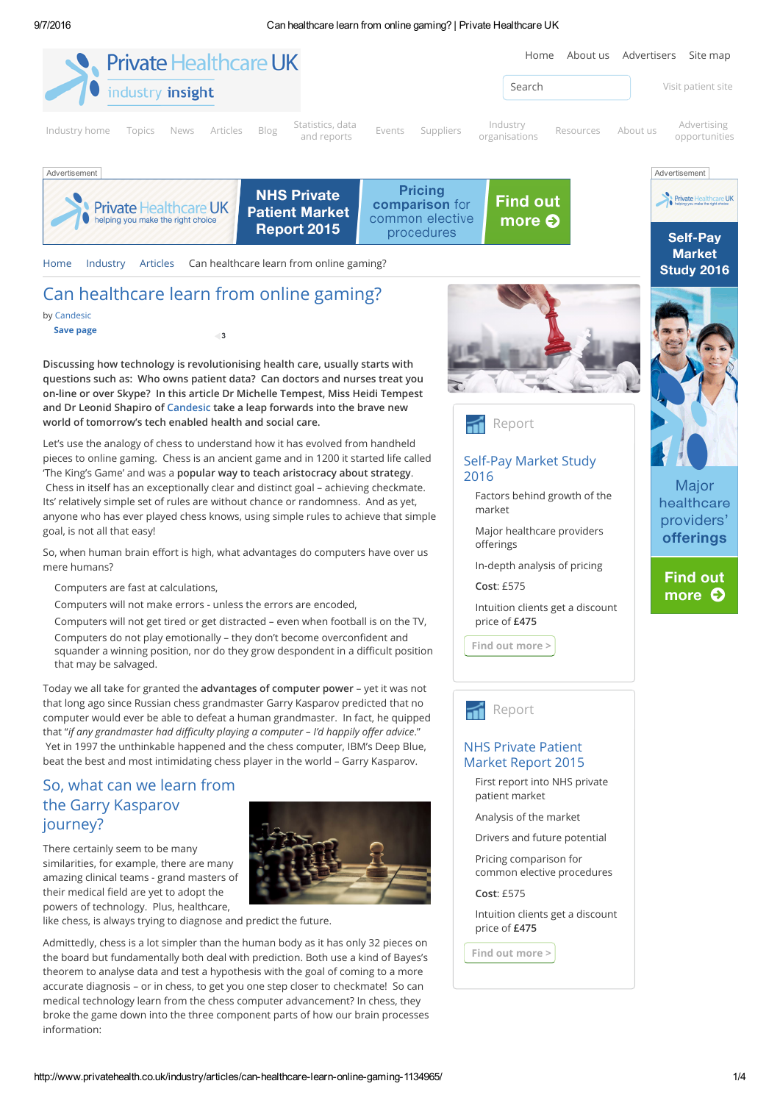

# the Garry Kasparov journey?

There certainly seem to be many



similarities, for example, there are many amazing clinical teams - grand masters of their medical field are yet to adopt the powers of technology. Plus, healthcare,

like chess, is always trying to diagnose and predict the future.

Admittedly, chess is a lot simpler than the human body as it has only 32 pieces on the board but fundamentally both deal with prediction. Both use a kind of Bayes's theorem to analyse data and test a hypothesis with the goal of coming to a more accurate diagnosis – or in chess, to get you one step closer to checkmate! So can medical technology learn from the chess computer advancement? In chess, they broke the game down into the three component parts of how our brain processes information:

patient market

Analysis of the market

Drivers and future potential

Pricing comparison for common elective procedures

Cost: £575

Intuition clients get a discount price of £475

Find out [more](http://www.privatehealth.co.uk/industry/stats/nhs-ppu-self-pay-market-study-2015/) >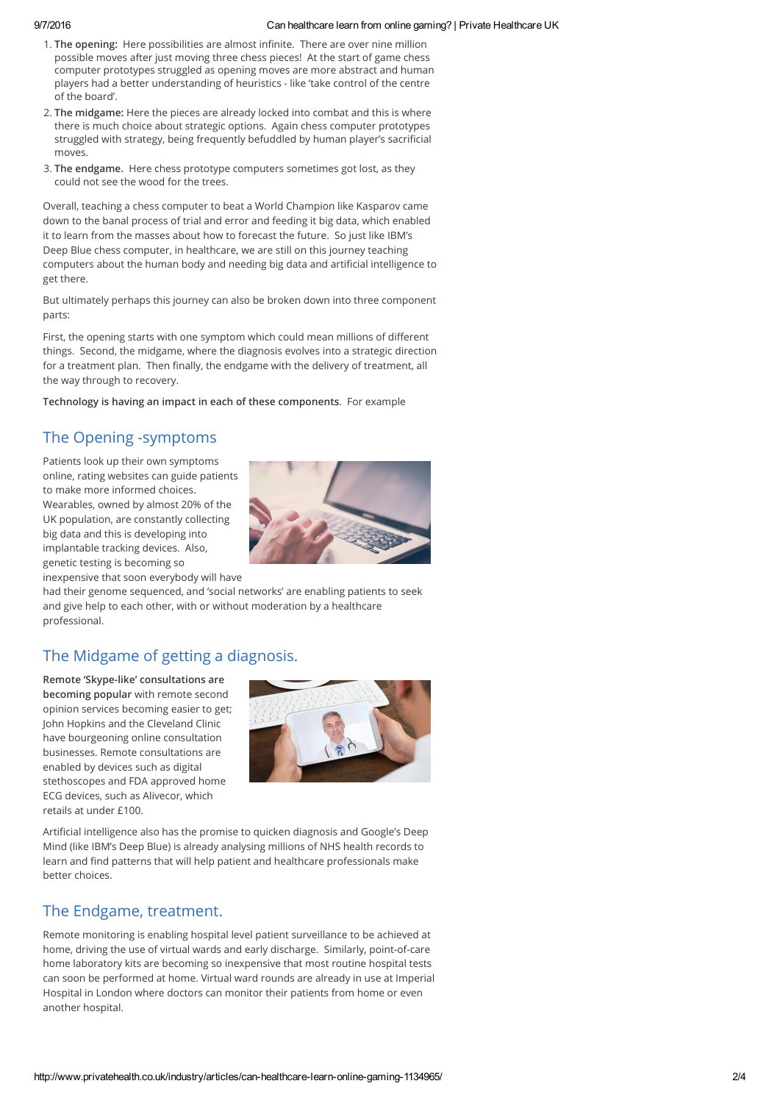### 9/7/2016 Can healthcare learn from online gaming? | Private Healthcare UK

- 1. The opening: Here possibilities are almost infinite. There are over nine million possible moves after just moving three chess pieces! At the start of game chess computer prototypes struggled as opening moves are more abstract and human players had a better understanding of heuristics - like 'take control of the centre of the board'.
- 2. The midgame: Here the pieces are already locked into combat and this is where there is much choice about strategic options. Again chess computer prototypes struggled with strategy, being frequently befuddled by human player's sacrificial moves.
- 3. The endgame. Here chess prototype computers sometimes got lost, as they could not see the wood for the trees.

Overall, teaching a chess computer to beat a World Champion like Kasparov came down to the banal process of trial and error and feeding it big data, which enabled it to learn from the masses about how to forecast the future. So just like IBM's Deep Blue chess computer, in healthcare, we are still on this journey teaching computers about the human body and needing big data and artificial intelligence to get there.

But ultimately perhaps this journey can also be broken down into three component parts:

First, the opening starts with one symptom which could mean millions of different things. Second, the midgame, where the diagnosis evolves into a strategic direction for a treatment plan. Then finally, the endgame with the delivery of treatment, all the way through to recovery.

Technology is having an impact in each of these components. For example

# The Opening -symptoms

Patients look up their own symptoms online, rating websites can guide patients to make more informed choices. Wearables, owned by almost 20% of the UK population, are constantly collecting big data and this is developing into implantable tracking devices. Also, genetic testing is becoming so inexpensive that soon everybody will have



had their genome sequenced, and 'social networks' are enabling patients to seek and give help to each other, with or without moderation by a healthcare professional.

# The Midgame of getting a diagnosis.

Remote 'Skype-like' consultations are becoming popular with remote second opinion services becoming easier to get; John Hopkins and the Cleveland Clinic have bourgeoning online consultation businesses. Remote consultations are enabled by devices such as digital stethoscopes and FDA approved home ECG devices, such as Alivecor, which retails at under £100.



Artificial intelligence also has the promise to quicken diagnosis and Google's Deep Mind (like IBM's Deep Blue) is already analysing millions of NHS health records to learn and find patterns that will help patient and healthcare professionals make better choices.

# The Endgame, treatment.

Remote monitoring is enabling hospital level patient surveillance to be achieved at home, driving the use of virtual wards and early discharge. Similarly, point-of-care home laboratory kits are becoming so inexpensive that most routine hospital tests can soon be performed at home. Virtual ward rounds are already in use at Imperial Hospital in London where doctors can monitor their patients from home or even another hospital.